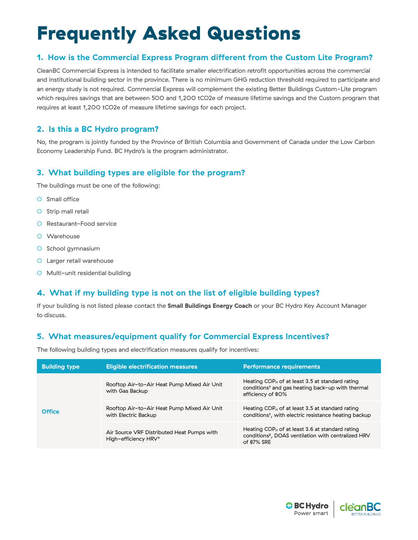# Frequently Asked Questions

# **1. How is the Commercial Express Program different from the Custom Lite Program?**

CleanBC Commercial Express is intended to facilitate smaller electrification retrofit opportunities across the commercial and institutional building sector in the province. There is no minimum GHG reduction threshold required to participate and an energy study is not required. Commercial Express will complement the existing Better Buildings Custom-Lite program which requires savings that are between 500 and 1,200 tCO2e of measure lifetime savings and the Custom program that requires at least 1,200 tCO2e of measure lifetime savings for each project.

# **2. Is this a BC Hydro program?**

No, the program is jointly funded by the Province of British Columbia and Government of Canada under the Low Carbon Economy Leadership Fund. BC Hydro's is the program administrator.

# **3. What building types are eligible for the program?**

The buildings must be one of the following:

- O Small office
- O Strip mall retail
- Restaurant-Food service
- Warehouse
- School gymnasium
- Larger retail warehouse
- Multi-unit residential building

# **4. What if my building type is not on the list of eligible building types?**

If your building is not listed please contact the **[Small Buildings Energy Coach](mailto:smallbuildings%40betterbuildingsbc.ca?subject=)** or your BC Hydro Key Account Manager to discuss.

# **5. What measures/equipment qualify for Commercial Express Incentives?**

The following building types and electrification measures qualify for incentives:

| <b>Building type</b> | <b>Eligible electrification measures</b>                            | <b>Performance requirements</b>                                                                                                         |
|----------------------|---------------------------------------------------------------------|-----------------------------------------------------------------------------------------------------------------------------------------|
| <b>Office</b>        | Rooftop Air-to-Air Heat Pump Mixed Air Unit<br>with Gas Backup      | Heating $COP_H$ of at least 3.5 at standard rating<br>conditions <sup>1</sup> and gas heating back-up with thermal<br>efficiency of 80% |
|                      | Rooftop Air-to-Air Heat Pump Mixed Air Unit<br>with Electric Backup | Heating $COP_H$ of at least 3.5 at standard rating<br>conditions <sup>1</sup> , with electric resistance heating backup                 |
|                      | Air Source VRF Distributed Heat Pumps with<br>High-efficiency HRV*  | Heating $COP_H$ of at least 3.6 at standard rating<br>conditions <sup>2</sup> , DOAS ventilation with centralized HRV<br>of 87% SRE     |

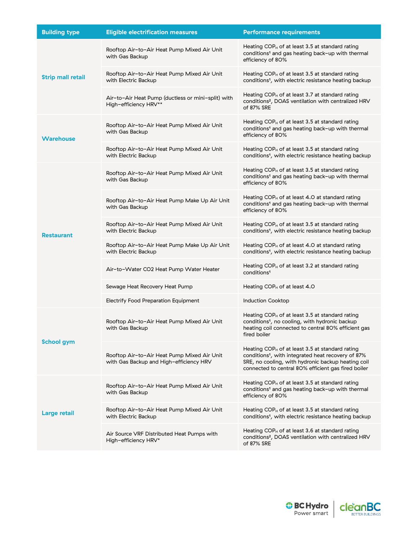| <b>Building type</b>     | <b>Eligible electrification measures</b>                                               | <b>Performance requirements</b>                                                                                                                                                                                                   |
|--------------------------|----------------------------------------------------------------------------------------|-----------------------------------------------------------------------------------------------------------------------------------------------------------------------------------------------------------------------------------|
| <b>Strip mall retail</b> | Rooftop Air-to-Air Heat Pump Mixed Air Unit<br>with Gas Backup                         | Heating $COP_H$ of at least 3.5 at standard rating<br>conditions <sup>1</sup> and gas heating back-up with thermal<br>efficiency of 80%                                                                                           |
|                          | Rooftop Air-to-Air Heat Pump Mixed Air Unit<br>with Electric Backup                    | Heating $COP_H$ of at least 3.5 at standard rating<br>conditions <sup>1</sup> , with electric resistance heating backup                                                                                                           |
|                          | Air-to-Air Heat Pump (ductless or mini-split) with<br>High-efficiency HRV**            | Heating $COP_H$ of at least 3.7 at standard rating<br>conditions <sup>2</sup> , DOAS ventilation with centralized HRV<br>of 87% SRE                                                                                               |
| <b>Warehouse</b>         | Rooftop Air-to-Air Heat Pump Mixed Air Unit<br>with Gas Backup                         | Heating $COP_H$ of at least 3.5 at standard rating<br>conditions <sup>1</sup> and gas heating back-up with thermal<br>efficiency of 80%                                                                                           |
|                          | Rooftop Air-to-Air Heat Pump Mixed Air Unit<br>with Electric Backup                    | Heating $COP_H$ of at least 3.5 at standard rating<br>conditions <sup>1</sup> , with electric resistance heating backup                                                                                                           |
| <b>Restaurant</b>        | Rooftop Air-to-Air Heat Pump Mixed Air Unit<br>with Gas Backup                         | Heating $COP_H$ of at least 3.5 at standard rating<br>conditions <sup>1</sup> and gas heating back-up with thermal<br>efficiency of 80%                                                                                           |
|                          | Rooftop Air-to-Air Heat Pump Make Up Air Unit<br>with Gas Backup                       | Heating $COP_H$ of at least 4.0 at standard rating<br>conditions <sup>1</sup> and gas heating back-up with thermal<br>efficiency of 80%                                                                                           |
|                          | Rooftop Air-to-Air Heat Pump Mixed Air Unit<br>with Electric Backup                    | Heating $COP_H$ of at least 3.5 at standard rating<br>conditions <sup>1</sup> , with electric resistance heating backup                                                                                                           |
|                          | Rooftop Air-to-Air Heat Pump Make Up Air Unit<br>with Electric Backup                  | Heating $COP_H$ of at least 4.0 at standard rating<br>conditions <sup>1</sup> , with electric resistance heating backup                                                                                                           |
|                          | Air-to-Water CO2 Heat Pump Water Heater                                                | Heating $COP_H$ of at least 3.2 at standard rating<br>conditions <sup>1</sup>                                                                                                                                                     |
|                          | Sewage Heat Recovery Heat Pump                                                         | Heating COP <sub>H</sub> of at least 4.0                                                                                                                                                                                          |
|                          | <b>Electrify Food Preparation Equipment</b>                                            | <b>Induction Cooktop</b>                                                                                                                                                                                                          |
| <b>School gym</b>        | Rooftop Air-to-Air Heat Pump Mixed Air Unit<br>with Gas Backup                         | Heating $COP_H$ of at least 3.5 at standard rating<br>conditions <sup>1</sup> , no cooling, with hydronic backup<br>heating coil connected to central 80% efficient gas<br>tired boiler                                           |
|                          | Rooftop Air-to-Air Heat Pump Mixed Air Unit<br>with Gas Backup and High-efficiency HRV | Heating $COP_H$ of at least 3.5 at standard rating<br>conditions <sup>1</sup> , with integrated heat recovery of 87%<br>SRE, no cooling, with hydronic backup heating coil<br>connected to central 80% efficient gas fired boiler |
| <b>Large retail</b>      | Rooftop Air-to-Air Heat Pump Mixed Air Unit<br>with Gas Backup                         | Heating $COP_H$ of at least 3.5 at standard rating<br>conditions <sup>1</sup> and gas heating back-up with thermal<br>efficiency of 80%                                                                                           |
|                          | Rooftop Air-to-Air Heat Pump Mixed Air Unit<br>with Electric Backup                    | Heating COP $H$ of at least 3.5 at standard rating<br>conditions <sup>1</sup> , with electric resistance heating backup                                                                                                           |
|                          | Air Source VRF Distributed Heat Pumps with<br>High-efficiency HRV*                     | Heating COP $H$ of at least 3.6 at standard rating<br>conditions <sup>2</sup> , DOAS ventilation with centralized HRV<br>of 87% SRE                                                                                               |
|                          |                                                                                        |                                                                                                                                                                                                                                   |

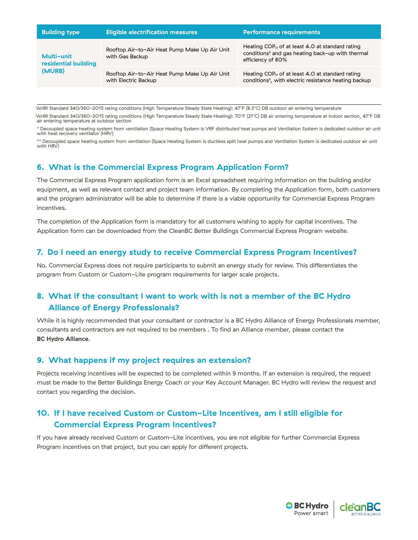| <b>Building type</b>                         | <b>Eligible electrification measures</b>                              | <b>Performance requirements</b>                                                                                                         |
|----------------------------------------------|-----------------------------------------------------------------------|-----------------------------------------------------------------------------------------------------------------------------------------|
| Multi-unit<br>residential building<br>(MURB) | Rooftop Air-to-Air Heat Pump Make Up Air Unit<br>with Gas Backup      | Heating $COP_H$ of at least 4.0 at standard rating<br>conditions <sup>1</sup> and gas heating back-up with thermal<br>efficiency of 80% |
|                                              | Rooftop Air-to-Air Heat Pump Make Up Air Unit<br>with Electric Backup | Heating $COP_H$ of at least 4.0 at standard rating<br>conditions <sup>1</sup> , with electric resistance heating backup                 |

<sup>1</sup>AHRI Standard 340/360-2015 rating conditions (High Temperature Steady State Heating): 47°F (8.3°C) DB outdoor air entering temperature

<sup>2</sup>AHRI Standard 340/360-2015 rating conditions (High Temperature Steady State Heating): 70°F (21°C) DB air entering temperature at indoor section, 47°F DB air entering temperature at outdoor section

\* Decoupled space heating system from ventilation (Space Heating System is VRF distributed heat pumps and Ventilation System is dedicated outdoor air unit with heat recovery ventilator (HRV)

\*\* Decoupled space heating system from ventilation (Space Heating System is ductless split heat pumps and Ventilation System is dedicated outdoor air unit with HRV)

## **6. What is the Commercial Express Program Application Form?**

The Commercial Express Program application form is an Excel spreadsheet requiring information on the building and/or equipment, as well as relevant contact and project team information. By completing the Application form, both customers and the program administrator will be able to determine if there is a viable opportunity for Commercial Express Program incentives.

The completion of the Application form is mandatory for all customers wishing to apply for capital incentives. The Application form can be downloaded from the CleanBC Better Buildings Commercial Express Program website.

# **7. Do I need an energy study to receive Commercial Express Program Incentives?**

No. Commercial Express does not require participants to submit an energy study for review. This differentiates the program from Custom or Custom-Lite program requirements for larger scale projects.

# **8. What if the consultant I want to work with is not a member of the BC Hydro Alliance of Energy Professionals?**

While it is highly recommended that your consultant or contractor is a BC Hydro Alliance of Energy Professionals member, consultants and contractors are not required to be members . To find an Alliance member, please contact the **[BC Hydro Alliance](https://www.bchydro.com/work-with-us/alliance.html)**.

## **9. What happens if my project requires an extension?**

Projects receiving incentives will be expected to be completed within 9 months. If an extension is required, the request must be made to the Better Buildings Energy Coach or your Key Account Manager. BC Hydro will review the request and contact you regarding the decision.

# **10. If I have received Custom or Custom-Lite Incentives, am I still eligible for Commercial Express Program Incentives?**

If you have already received Custom or Custom-Lite incentives, you are not eligible for further Commercial Express Program incentives on that project, but you can apply for different projects.

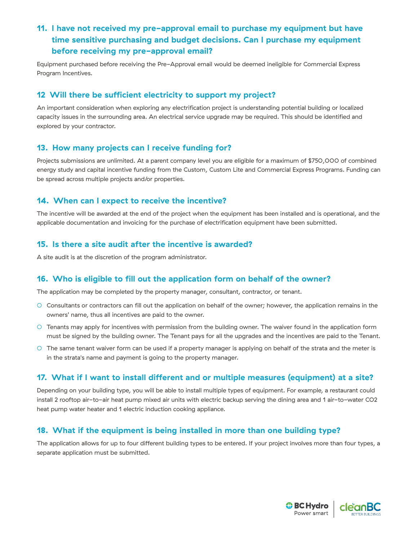# **11. I have not received my pre-approval email to purchase my equipment but have time sensitive purchasing and budget decisions. Can I purchase my equipment before receiving my pre-approval email?**

Equipment purchased before receiving the Pre-Approval email would be deemed ineligible for Commercial Express Program Incentives.

## **12 Will there be sufficient electricity to support my project?**

An important consideration when exploring any electrification project is understanding potential building or localized capacity issues in the surrounding area. An electrical service upgrade may be required. This should be identified and explored by your contractor.

## **13. How many projects can I receive funding for?**

Projects submissions are unlimited. At a parent company level you are eligible for a maximum of \$750,000 of combined energy study and capital incentive funding from the Custom, Custom Lite and Commercial Express Programs. Funding can be spread across multiple projects and/or properties.

## **14. When can I expect to receive the incentive?**

The incentive will be awarded at the end of the project when the equipment has been installed and is operational, and the applicable documentation and invoicing for the purchase of electrification equipment have been submitted.

### **15. Is there a site audit after the incentive is awarded?**

A site audit is at the discretion of the program administrator.

## **16. Who is eligible to fill out the application form on behalf of the owner?**

The application may be completed by the property manager, consultant, contractor, or tenant.

- Consultants or contractors can fill out the application on behalf of the owner; however, the application remains in the owners' name, thus all incentives are paid to the owner.
- Tenants may apply for incentives with permission from the building owner. The waiver found in the application form must be signed by the building owner. The Tenant pays for all the upgrades and the incentives are paid to the Tenant.
- The same tenant waiver form can be used if a property manager is applying on behalf of the strata and the meter is in the strata's name and payment is going to the property manager.

### **17. What if I want to install different and or multiple measures (equipment) at a site?**

Depending on your building type, you will be able to install multiple types of equipment. For example, a restaurant could install 2 rooftop air-to-air heat pump mixed air units with electric backup serving the dining area and 1 air-to-water CO2 heat pump water heater and 1 electric induction cooking appliance.

## **18. What if the equipment is being installed in more than one building type?**

The application allows for up to four different building types to be entered. If your project involves more than four types, a separate application must be submitted.